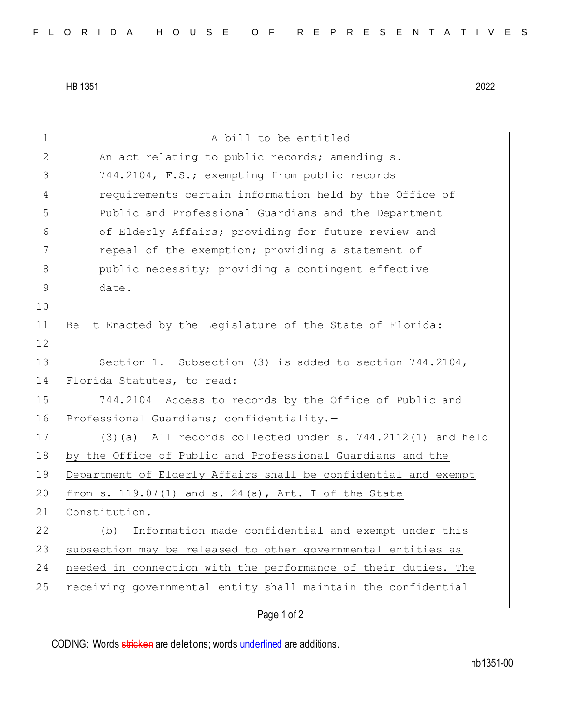HB 1351 2022

| 1             | A bill to be entitled                                          |
|---------------|----------------------------------------------------------------|
| 2             | An act relating to public records; amending s.                 |
| 3             | 744.2104, F.S.; exempting from public records                  |
| 4             | requirements certain information held by the Office of         |
| 5             | Public and Professional Guardians and the Department           |
| 6             | of Elderly Affairs; providing for future review and            |
| 7             | repeal of the exemption; providing a statement of              |
| 8             | public necessity; providing a contingent effective             |
| $\mathcal{G}$ | date.                                                          |
| 10            |                                                                |
| 11            | Be It Enacted by the Legislature of the State of Florida:      |
| 12            |                                                                |
| 13            | Section 1. Subsection (3) is added to section $744.2104$ ,     |
| 14            | Florida Statutes, to read:                                     |
| 15            | 744.2104 Access to records by the Office of Public and         |
| 16            | Professional Guardians; confidentiality.-                      |
| 17            | $(3)$ (a) All records collected under s. 744.2112(1) and held  |
| 18            | by the Office of Public and Professional Guardians and the     |
| 19            | Department of Elderly Affairs shall be confidential and exempt |
| 20            | from s. $119.07(1)$ and s. $24(a)$ , Art. I of the State       |
| 21            | Constitution.                                                  |
| 22            | Information made confidential and exempt under this<br>(b)     |
| 23            | subsection may be released to other governmental entities as   |
| 24            | needed in connection with the performance of their duties. The |
| 25            | receiving governmental entity shall maintain the confidential  |
|               | Page 1 of 2                                                    |

CODING: Words stricken are deletions; words underlined are additions.